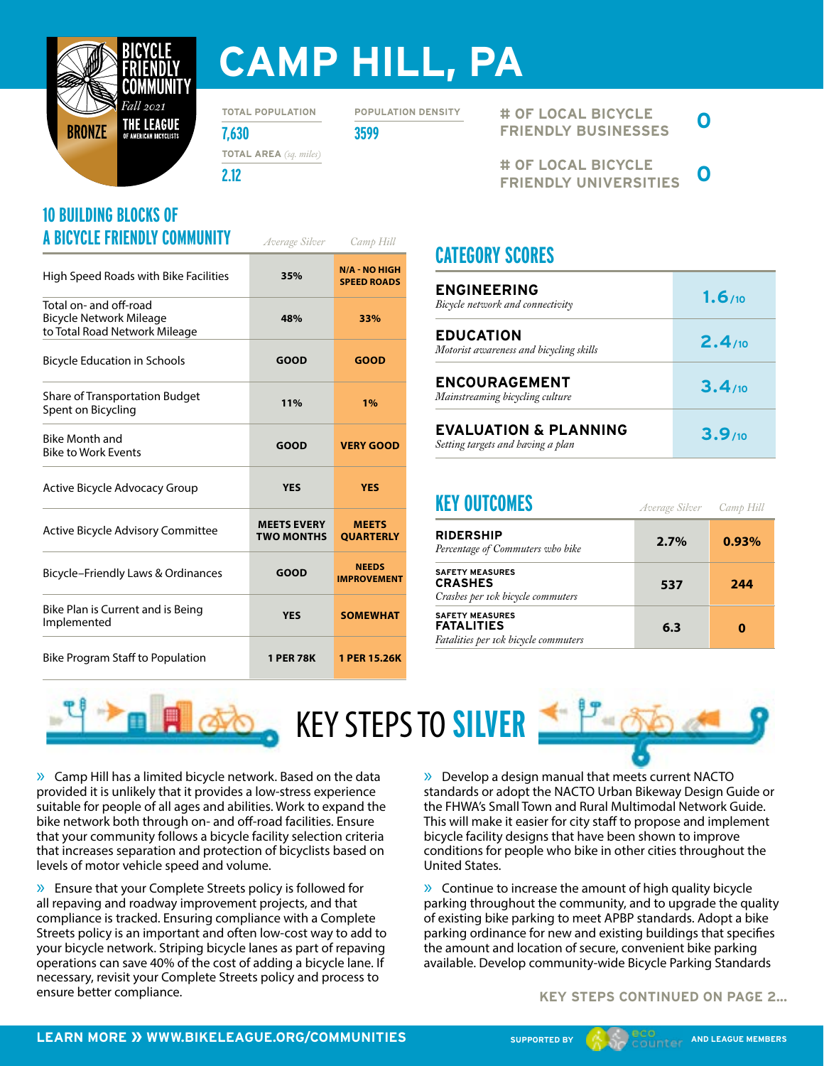

# **CAMP HILL, PA**

**TOTAL POPULATION**

**POPULATION DENSITY**

**7,630 3599 TOTAL AREA** *(sq. miles)*

**2.12**

#### **10 BUILDING BLOCKS OF A BICYCLE FRIENDLY COMMUNITY** *Average Silver Camp Hill*

| High Speed Roads with Bike Facilities                                              | 35%                                     | <b>N/A - NO HIGH</b><br><b>SPEED ROADS</b> |
|------------------------------------------------------------------------------------|-----------------------------------------|--------------------------------------------|
| Total on- and off-road<br>Bicycle Network Mileage<br>to Total Road Network Mileage | 48%                                     | 33%                                        |
| <b>Bicycle Education in Schools</b>                                                | <b>GOOD</b>                             | <b>GOOD</b>                                |
| <b>Share of Transportation Budget</b><br>Spent on Bicycling                        | 11%                                     | 1%                                         |
| Bike Month and<br><b>Bike to Work Events</b>                                       | <b>GOOD</b>                             | <b>VERY GOOD</b>                           |
| Active Bicycle Advocacy Group                                                      | <b>YES</b>                              | <b>YES</b>                                 |
| <b>Active Bicycle Advisory Committee</b>                                           | <b>MEETS EVERY</b><br><b>TWO MONTHS</b> | <b>MEETS</b><br><b>OUARTERLY</b>           |
| Bicycle-Friendly Laws & Ordinances                                                 | <b>GOOD</b>                             | <b>NEEDS</b><br><b>IMPROVEMENT</b>         |
| Bike Plan is Current and is Being<br>Implemented                                   | <b>YES</b>                              | <b>SOMEWHAT</b>                            |
| <b>Bike Program Staff to Population</b>                                            | <b>1 PER 78K</b>                        | 1 PER 15.26K                               |

**# OF LOCAL BICYCLE FRIENDLY BUSINESSES 0**

**# OF LOCAL BICYCLE FRIENDLY UNIVERSITIES 0**

## **CATEGORY SCORES**

| <b>ENGINEERING</b><br>Bicycle network and connectivity                | 1.6/10 |
|-----------------------------------------------------------------------|--------|
| <b>EDUCATION</b><br>Motorist awareness and bicycling skills           | 2.4/10 |
| <b>ENCOURAGEMENT</b><br>Mainstreaming bicycling culture               | 3.4/10 |
| <b>EVALUATION &amp; PLANNING</b><br>Setting targets and having a plan | 3.9/10 |

#### **KEY OUTCOMES**

| 2.7% | 0.93% |
|------|-------|
| 537  | 244   |
| 6.3  | 0     |
|      |       |

*Camp Hill*

*Average Silver*



» Camp Hill has a limited bicycle network. Based on the data provided it is unlikely that it provides a low-stress experience suitable for people of all ages and abilities. Work to expand the bike network both through on- and off-road facilities. Ensure that your community follows a bicycle facility selection criteria that increases separation and protection of bicyclists based on levels of motor vehicle speed and volume.

» Ensure that your Complete Streets policy is followed for all repaving and roadway improvement projects, and that compliance is tracked. Ensuring compliance with a Complete Streets policy is an important and often low-cost way to add to your bicycle network. Striping bicycle lanes as part of repaving operations can save 40% of the cost of adding a bicycle lane. If necessary, revisit your Complete Streets policy and process to ensure better compliance.

» Develop a design manual that meets current NACTO standards or adopt the NACTO Urban Bikeway Design Guide or the FHWA's Small Town and Rural Multimodal Network Guide. This will make it easier for city staff to propose and implement bicycle facility designs that have been shown to improve conditions for people who bike in other cities throughout the United States.

» Continue to increase the amount of high quality bicycle parking throughout the community, and to upgrade the quality of existing bike parking to meet APBP standards. Adopt a bike parking ordinance for new and existing buildings that specifies the amount and location of secure, convenient bike parking available. Develop community-wide Bicycle Parking Standards

**KEY STEPS CONTINUED ON PAGE 2...**